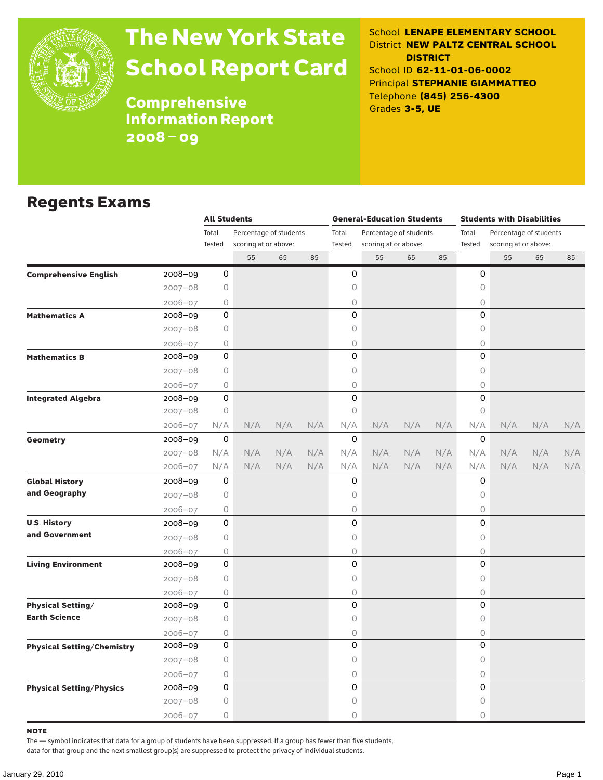

# The New York State School Report Card

School **LENAPE ELEMENTARY SCHOOL** District **NEW PALTZ CENTRAL SCHOOL DISTRICT** School ID **62-11-01-06-0002** Principal **STEPHANIE GIAMMATTEO** Telephone **(845) 256-4300** Grades **3-5, UE**

**Comprehensive** Information Report 2008–09

### Regents Exams

|                                   |             | <b>All Students</b> |                        |     |     |          | <b>General-Education Students</b> |     |     | <b>Students with Disabilities</b> |                        |     |     |  |  |
|-----------------------------------|-------------|---------------------|------------------------|-----|-----|----------|-----------------------------------|-----|-----|-----------------------------------|------------------------|-----|-----|--|--|
|                                   |             | Total               | Percentage of students |     |     | Total    | Percentage of students            |     |     | Total                             | Percentage of students |     |     |  |  |
|                                   |             | Tested              | scoring at or above:   |     |     | Tested   | scoring at or above:              |     |     | Tested                            | scoring at or above:   |     |     |  |  |
|                                   |             |                     | 55                     | 65  | 85  |          | 55                                | 65  | 85  |                                   | 55                     | 65  | 85  |  |  |
| <b>Comprehensive English</b>      | 2008-09     | 0                   |                        |     |     | 0        |                                   |     |     | 0                                 |                        |     |     |  |  |
|                                   | $2007 - 08$ | 0                   |                        |     |     | 0        |                                   |     |     | 0                                 |                        |     |     |  |  |
|                                   | $2006 - 07$ | 0                   |                        |     |     | 0        |                                   |     |     | 0                                 |                        |     |     |  |  |
| <b>Mathematics A</b>              | 2008-09     | 0                   |                        |     |     | 0        |                                   |     |     | $\Omega$                          |                        |     |     |  |  |
|                                   | $2007 - 08$ | 0                   |                        |     |     | 0        |                                   |     |     | 0                                 |                        |     |     |  |  |
|                                   | $2006 - 07$ | 0                   |                        |     |     | 0        |                                   |     |     | $\bigcirc$                        |                        |     |     |  |  |
| <b>Mathematics B</b>              | 2008-09     | 0                   |                        |     |     | 0        |                                   |     |     | $\Omega$                          |                        |     |     |  |  |
|                                   | $2007 - 08$ | 0                   |                        |     |     | 0        |                                   |     |     | 0                                 |                        |     |     |  |  |
|                                   | $2006 - 07$ | 0                   |                        |     |     | 0        |                                   |     |     | 0                                 |                        |     |     |  |  |
| <b>Integrated Algebra</b>         | 2008-09     | 0                   |                        |     |     | 0        |                                   |     |     | 0                                 |                        |     |     |  |  |
|                                   | 2007-08     | 0                   |                        |     |     | 0        |                                   |     |     | $\circ$                           |                        |     |     |  |  |
|                                   | 2006-07     | N/A                 | N/A                    | N/A | N/A | N/A      | N/A                               | N/A | N/A | N/A                               | N/A                    | N/A | N/A |  |  |
| <b>Geometry</b>                   | 2008-09     | 0                   |                        |     |     | $\Omega$ |                                   |     |     | 0                                 |                        |     |     |  |  |
|                                   | $2007 - 08$ | N/A                 | N/A                    | N/A | N/A | N/A      | N/A                               | N/A | N/A | N/A                               | N/A                    | N/A | N/A |  |  |
|                                   | 2006-07     | N/A                 | N/A                    | N/A | N/A | N/A      | N/A                               | N/A | N/A | N/A                               | N/A                    | N/A | N/A |  |  |
| <b>Global History</b>             | 2008-09     | 0                   |                        |     |     | 0        |                                   |     |     | 0                                 |                        |     |     |  |  |
| and Geography                     | $2007 - 08$ | 0                   |                        |     |     | 0        |                                   |     |     | $\circ$                           |                        |     |     |  |  |
|                                   | 2006-07     | 0                   |                        |     |     | 0        |                                   |     |     | 0                                 |                        |     |     |  |  |
| <b>U.S. History</b>               | 2008-09     | 0                   |                        |     |     | 0        |                                   |     |     | 0                                 |                        |     |     |  |  |
| and Government                    | $2007 - 08$ | $\circ$             |                        |     |     | 0        |                                   |     |     | 0                                 |                        |     |     |  |  |
|                                   | 2006-07     | 0                   |                        |     |     | 0        |                                   |     |     | $\bigcirc$                        |                        |     |     |  |  |
| <b>Living Environment</b>         | 2008-09     | 0                   |                        |     |     | 0        |                                   |     |     | 0                                 |                        |     |     |  |  |
|                                   | $2007 - 08$ | $\circ$             |                        |     |     | 0        |                                   |     |     | 0                                 |                        |     |     |  |  |
|                                   | $2006 - 07$ | 0                   |                        |     |     | 0        |                                   |     |     | $\bigcirc$                        |                        |     |     |  |  |
| <b>Physical Setting/</b>          | $2008 - 09$ | 0                   |                        |     |     | 0        |                                   |     |     | 0                                 |                        |     |     |  |  |
| <b>Earth Science</b>              | $2007 - 08$ | 0                   |                        |     |     | 0        |                                   |     |     | 0                                 |                        |     |     |  |  |
|                                   | $2006 - 07$ | 0                   |                        |     |     | 0        |                                   |     |     | $\bigcirc$                        |                        |     |     |  |  |
| <b>Physical Setting/Chemistry</b> | 2008-09     | 0                   |                        |     |     | 0        |                                   |     |     | 0                                 |                        |     |     |  |  |
|                                   | $2007 - 08$ | 0                   |                        |     |     | 0        |                                   |     |     | 0                                 |                        |     |     |  |  |
|                                   | 2006-07     | 0                   |                        |     |     | 0        |                                   |     |     | $\bigcirc$                        |                        |     |     |  |  |
| <b>Physical Setting/Physics</b>   | 2008-09     | 0                   |                        |     |     | 0        |                                   |     |     | 0                                 |                        |     |     |  |  |
|                                   | $2007 - 08$ | 0                   |                        |     |     | 0        |                                   |     |     | 0                                 |                        |     |     |  |  |
|                                   | 2006-07     | 0                   |                        |     |     | 0        |                                   |     |     | $\Omega$                          |                        |     |     |  |  |

note

The — symbol indicates that data for a group of students have been suppressed. If a group has fewer than five students,

data for that group and the next smallest group(s) are suppressed to protect the privacy of individual students.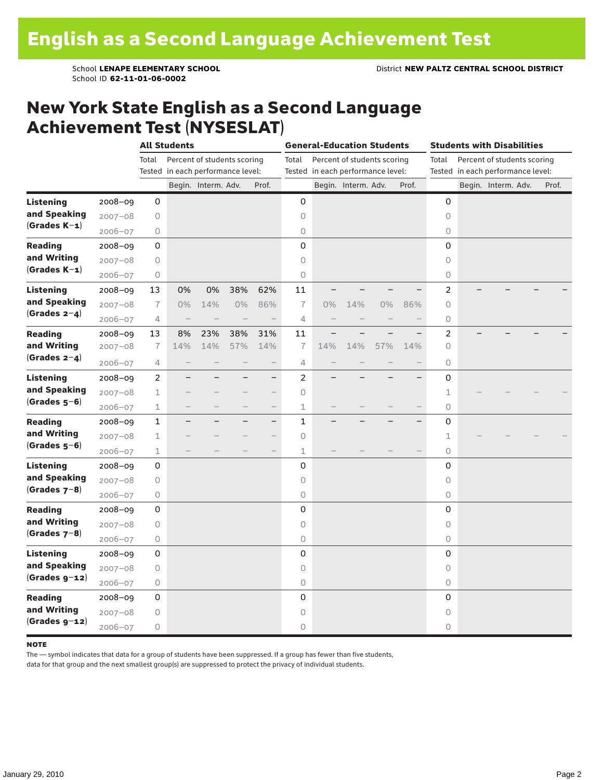School ID **62-11-01-06-0002**

### New York State English as a Second Language Achievement Test (NYSESLAT)

|                  |             |                | <b>All Students</b>               |                             |     |                          |                | <b>General-Education Students</b> |                                                                  |     |       |                     | <b>Students with Disabilities</b> |                                                                  |  |       |  |  |  |
|------------------|-------------|----------------|-----------------------------------|-----------------------------|-----|--------------------------|----------------|-----------------------------------|------------------------------------------------------------------|-----|-------|---------------------|-----------------------------------|------------------------------------------------------------------|--|-------|--|--|--|
|                  |             | Total          | Tested in each performance level: | Percent of students scoring |     |                          | Total          |                                   | Percent of students scoring<br>Tested in each performance level: |     |       | Total               |                                   | Percent of students scoring<br>Tested in each performance level: |  |       |  |  |  |
|                  |             |                |                                   | Begin. Interm. Adv.         |     | Prof.                    |                |                                   | Begin. Interm. Adv.                                              |     | Prof. |                     |                                   | Begin. Interm. Adv.                                              |  | Prof. |  |  |  |
| <b>Listening</b> | 2008-09     | 0              |                                   |                             |     |                          | 0              |                                   |                                                                  |     |       | 0                   |                                   |                                                                  |  |       |  |  |  |
| and Speaking     | $2007 - 08$ | $\bigcirc$     |                                   |                             |     |                          | 0              |                                   |                                                                  |     |       | 0                   |                                   |                                                                  |  |       |  |  |  |
| $(Grades K-1)$   | $2006 - 07$ | 0              |                                   |                             |     |                          | 0              |                                   |                                                                  |     |       | $\circ$             |                                   |                                                                  |  |       |  |  |  |
| <b>Reading</b>   | $2008 - 09$ | 0              |                                   |                             |     |                          | 0              |                                   |                                                                  |     |       | 0                   |                                   |                                                                  |  |       |  |  |  |
| and Writing      | $2007 - 08$ | 0              |                                   |                             |     |                          | 0              |                                   |                                                                  |     |       | $\circ$             |                                   |                                                                  |  |       |  |  |  |
| $(Grades K-1)$   | $2006 - 07$ | $\bigcirc$     |                                   |                             |     |                          | 0              |                                   |                                                                  |     |       | 0                   |                                   |                                                                  |  |       |  |  |  |
| <b>Listening</b> | $2008 - 09$ | 13             | 0%                                | 0%                          | 38% | 62%                      | 11             |                                   |                                                                  |     |       | 2                   |                                   |                                                                  |  |       |  |  |  |
| and Speaking     | $2007 - 08$ | $\overline{1}$ | $0\%$                             | 14%                         | 0%  | 86%                      | $\overline{1}$ | 0%                                | 14%                                                              | 0%  | 86%   | 0                   |                                   |                                                                  |  |       |  |  |  |
| $(Grades 2-4)$   | $2006 - 07$ | 4              | $\overline{\phantom{0}}$          |                             |     | $\overline{\phantom{0}}$ | 4              |                                   |                                                                  |     |       | $\circ$             |                                   |                                                                  |  |       |  |  |  |
| <b>Reading</b>   | $2008 - 09$ | 13             | 8%                                | 23%                         | 38% | 31%                      | 11             |                                   |                                                                  |     |       | 2                   |                                   |                                                                  |  |       |  |  |  |
| and Writing      | $2007 - 08$ | $\overline{1}$ | 14%                               | 14%                         | 57% | 14%                      | $\overline{1}$ | 14%                               | 14%                                                              | 57% | 14%   | $\circ$             |                                   |                                                                  |  |       |  |  |  |
| (Grades $2-4$ )  | $2006 - 07$ | 4              |                                   |                             |     | $\qquad \qquad -$        | 4              |                                   |                                                                  |     |       | 0                   |                                   |                                                                  |  |       |  |  |  |
| <b>Listening</b> | $2008 - 09$ | $\overline{c}$ |                                   |                             |     | $\overline{\phantom{0}}$ | $\overline{c}$ |                                   |                                                                  |     |       | 0                   |                                   |                                                                  |  |       |  |  |  |
| and Speaking     | $2007 - 08$ | 1              |                                   |                             |     | $\overline{\phantom{0}}$ | 0              |                                   |                                                                  |     |       | $\mathbf 1$         |                                   |                                                                  |  |       |  |  |  |
| $(Grades 5-6)$   | $2006 - 07$ | 1              |                                   |                             |     |                          | 1              |                                   |                                                                  |     |       | $\circ$             |                                   |                                                                  |  |       |  |  |  |
| <b>Reading</b>   | $2008 - 09$ | $\mathbf{1}$   | ÷,                                |                             |     | $\overline{\phantom{0}}$ | $\mathbf{1}$   |                                   |                                                                  |     | -     | 0                   |                                   |                                                                  |  |       |  |  |  |
| and Writing      | $2007 - 08$ | 1              |                                   |                             |     | $\qquad \qquad -$        | 0              |                                   |                                                                  |     |       | 1                   |                                   |                                                                  |  |       |  |  |  |
| $(Grades 5-6)$   | $2006 - 07$ | 1              |                                   |                             |     | $\overline{\phantom{0}}$ | 1              |                                   |                                                                  |     |       | $\circlearrowright$ |                                   |                                                                  |  |       |  |  |  |
| <b>Listening</b> | $2008 - 09$ | 0              |                                   |                             |     |                          | 0              |                                   |                                                                  |     |       | 0                   |                                   |                                                                  |  |       |  |  |  |
| and Speaking     | $2007 - 08$ | $\bigcirc$     |                                   |                             |     |                          | 0              |                                   |                                                                  |     |       | 0                   |                                   |                                                                  |  |       |  |  |  |
| (Grades $7-8$ )  | $2006 - 07$ | $\bigcirc$     |                                   |                             |     |                          | 0              |                                   |                                                                  |     |       | 0                   |                                   |                                                                  |  |       |  |  |  |
| <b>Reading</b>   | $2008 - 09$ | 0              |                                   |                             |     |                          | 0              |                                   |                                                                  |     |       | 0                   |                                   |                                                                  |  |       |  |  |  |
| and Writing      | $2007 - 08$ | 0              |                                   |                             |     |                          | 0              |                                   |                                                                  |     |       | $\circ$             |                                   |                                                                  |  |       |  |  |  |
| $(Grades 7-8)$   | 2006-07     | 0              |                                   |                             |     |                          | 0              |                                   |                                                                  |     |       | $\circlearrowright$ |                                   |                                                                  |  |       |  |  |  |
| <b>Listening</b> | $2008 - 09$ | 0              |                                   |                             |     |                          | 0              |                                   |                                                                  |     |       | 0                   |                                   |                                                                  |  |       |  |  |  |
| and Speaking     | $2007 - 08$ | 0              |                                   |                             |     |                          | 0              |                                   |                                                                  |     |       | $\circ$             |                                   |                                                                  |  |       |  |  |  |
| $(Grades g-12)$  | $2006 - 07$ | 0              |                                   |                             |     |                          | $\bigcirc$     |                                   |                                                                  |     |       | $\circ$             |                                   |                                                                  |  |       |  |  |  |
| <b>Reading</b>   | $2008 - 09$ | 0              |                                   |                             |     |                          | 0              |                                   |                                                                  |     |       | 0                   |                                   |                                                                  |  |       |  |  |  |
| and Writing      | $2007 - 08$ | 0              |                                   |                             |     |                          | 0              |                                   |                                                                  |     |       | 0                   |                                   |                                                                  |  |       |  |  |  |
| $(Grades g-12)$  | $2006 - 07$ | $\bigcirc$     |                                   |                             |     |                          | 0              |                                   |                                                                  |     |       | 0                   |                                   |                                                                  |  |       |  |  |  |

#### **NOTE**

The — symbol indicates that data for a group of students have been suppressed. If a group has fewer than five students,

data for that group and the next smallest group(s) are suppressed to protect the privacy of individual students.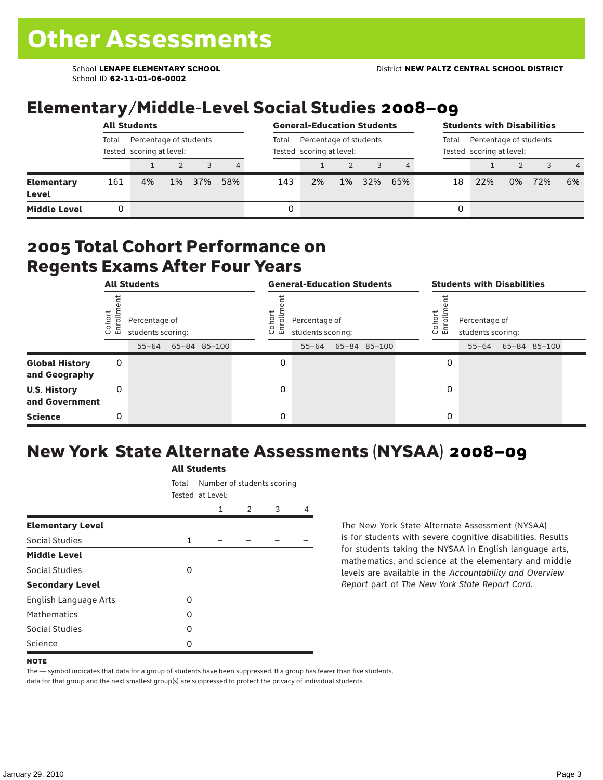School ID **62-11-01-06-0002**

## Elementary/Middle-Level Social Studies 2008–09

|                            |                                                             | <b>All Students</b> |       |     |                | <b>General-Education Students</b> |                                                    |       |     | <b>Students with Disabilities</b>                           |    |     |    |     |                |
|----------------------------|-------------------------------------------------------------|---------------------|-------|-----|----------------|-----------------------------------|----------------------------------------------------|-------|-----|-------------------------------------------------------------|----|-----|----|-----|----------------|
|                            | Total<br>Percentage of students<br>Tested scoring at level: |                     |       |     |                | Total                             | Percentage of students<br>Tested scoring at level: |       |     | Percentage of students<br>Total<br>Tested scoring at level: |    |     |    |     |                |
|                            |                                                             |                     |       |     | $\overline{4}$ |                                   |                                                    |       |     |                                                             |    |     |    |     | $\overline{4}$ |
| <b>Elementary</b><br>Level | 161                                                         | 4%                  | $1\%$ | 37% | 58%            | 143                               | 2%                                                 | $1\%$ | 32% | 65%                                                         | 18 | 22% | 0% | 72% | 6%             |
| <b>Middle Level</b>        |                                                             |                     |       |     |                | 0                                 |                                                    |       |     |                                                             | 0  |     |    |     |                |

#### 2005 Total Cohort Performance on Regents Exams After Four Years

|                                        | <b>All Students</b><br>Cohor<br>Enroll<br>Percentage of<br>students scoring:<br>65-84 85-100<br>$55 - 64$<br>0<br>0 |  |  |  |                      | <b>General-Education Students</b>  |              | <b>Students with Disabilities</b> |                                    |  |                    |  |  |
|----------------------------------------|---------------------------------------------------------------------------------------------------------------------|--|--|--|----------------------|------------------------------------|--------------|-----------------------------------|------------------------------------|--|--------------------|--|--|
|                                        |                                                                                                                     |  |  |  | Coho<br>$\circ$<br>ᇛ | Percentage of<br>students scoring: |              | Cohort<br>o,<br>문                 | Percentage of<br>students scoring: |  |                    |  |  |
|                                        |                                                                                                                     |  |  |  |                      | $55 - 64$                          | 65-84 85-100 |                                   |                                    |  | 55-64 65-84 85-100 |  |  |
| <b>Global History</b><br>and Geography |                                                                                                                     |  |  |  | 0                    |                                    |              | 0                                 |                                    |  |                    |  |  |
| <b>U.S. History</b><br>and Government  |                                                                                                                     |  |  |  | $\Omega$             |                                    |              | 0                                 |                                    |  |                    |  |  |
| <b>Science</b>                         | 0                                                                                                                   |  |  |  | 0                    |                                    |              | 0                                 |                                    |  |                    |  |  |

## New York State Alternate Assessments (NYSAA) 2008–09

|                         |       | AIL SLUUEIILS    |                                      |   |  |  |  |  |
|-------------------------|-------|------------------|--------------------------------------|---|--|--|--|--|
|                         | Total | Tested at Level: | Number of students scoring<br>3<br>2 |   |  |  |  |  |
|                         |       | 1                |                                      | 4 |  |  |  |  |
| <b>Elementary Level</b> |       |                  |                                      |   |  |  |  |  |
| <b>Social Studies</b>   | 1     |                  |                                      |   |  |  |  |  |
| <b>Middle Level</b>     |       |                  |                                      |   |  |  |  |  |
| <b>Social Studies</b>   | 0     |                  |                                      |   |  |  |  |  |
| <b>Secondary Level</b>  |       |                  |                                      |   |  |  |  |  |
| English Language Arts   | 0     |                  |                                      |   |  |  |  |  |
| <b>Mathematics</b>      | O     |                  |                                      |   |  |  |  |  |
| <b>Social Studies</b>   | O     |                  |                                      |   |  |  |  |  |
| Science                 | O     |                  |                                      |   |  |  |  |  |

All C<sub>tude</sub>

The New York State Alternate Assessment (NYSAA) is for students with severe cognitive disabilities. Results for students taking the NYSAA in English language arts, mathematics, and science at the elementary and middle levels are available in the *Accountability and Overview Report* part of *The New York State Report Card*.

The — symbol indicates that data for a group of students have been suppressed. If a group has fewer than five students, data for that group and the next smallest group(s) are suppressed to protect the privacy of individual students.

**NOTE**